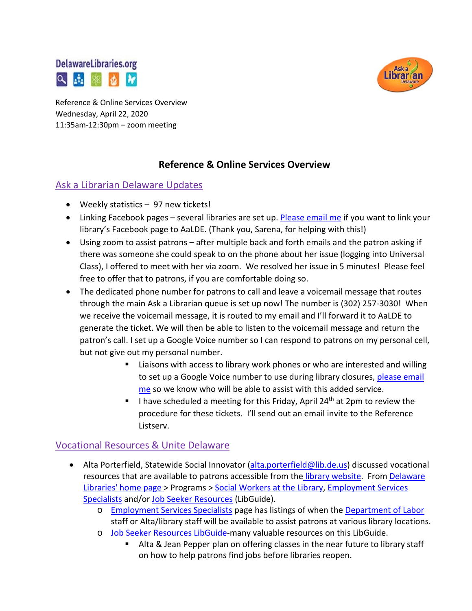



Reference & Online Services Overview Wednesday, April 22, 2020 11:35am-12:30pm – zoom meeting

# **Reference & Online Services Overview**

### Ask a Librarian Delaware Updates

- Weekly statistics 97 new tickets!
- Linking Facebook pages several libraries are set up[. Please email me](mailto:missy.williams@lib.de.us) if you want to link your library's Facebook page to AaLDE. (Thank you, Sarena, for helping with this!)
- Using zoom to assist patrons after multiple back and forth emails and the patron asking if there was someone she could speak to on the phone about her issue (logging into Universal Class), I offered to meet with her via zoom. We resolved her issue in 5 minutes! Please feel free to offer that to patrons, if you are comfortable doing so.
- The dedicated phone number for patrons to call and leave a voicemail message that routes through the main Ask a Librarian queue is set up now! The number is (302) 257-3030! When we receive the voicemail message, it is routed to my email and I'll forward it to AaLDE to generate the ticket. We will then be able to listen to the voicemail message and return the patron's call. I set up a Google Voice number so I can respond to patrons on my personal cell, but not give out my personal number.
	- **EXTE:** Liaisons with access to library work phones or who are interested and willing to set up a Google Voice number to use during library closures, please email [me](mailto:missy.williams@lib.de.us) so we know who will be able to assist with this added service.
	- I have scheduled a meeting for this Friday, April 24<sup>th</sup> at 2pm to review the procedure for these tickets. I'll send out an email invite to the Reference Listserv.

### Vocational Resources & Unite Delaware

- Alta Porterfield, Statewide Social Innovator [\(alta.porterfield@lib.de.us\)](mailto:alta.porterfield@lib.de.us) discussed vocational resources that are available to patrons accessible from the [library website.](https://lib.de.us/) From [Delaware](https://lib.de.us/)  [Libraries' home page >](https://lib.de.us/) Programs > [Social Workers at the Library,](https://lib.de.us/socialworkers/) Employment Services [Specialists](https://lib.de.us/jobassistance/) and/or [Job Seeker Resources](https://guides.lib.de.us/jobs) (LibGuide).
	- o [Employment Services Specialists](https://lib.de.us/jobassistance/) page has listings of when the [Department of Labor](https://dol.delaware.gov/) staff or Alta/library staff will be available to assist patrons at various library locations.
	- o [Job Seeker Resources LibGuide-](https://guides.lib.de.us/jobs)many valuable resources on this LibGuide.
		- Alta & Jean Pepper plan on offering classes in the near future to library staff on how to help patrons find jobs before libraries reopen.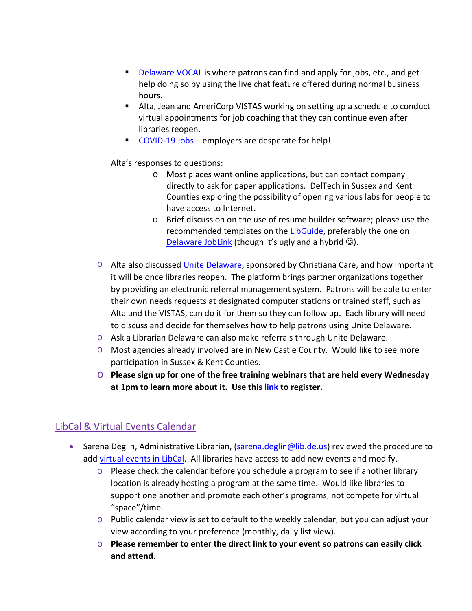- [Delaware VOCAL](https://vocal.delaware.gov/) is where patrons can find and apply for jobs, etc., and get help doing so by using the live chat feature offered during normal business hours.
- Alta, Jean and AmeriCorp VISTAS working on setting up a schedule to conduct virtual appointments for job coaching that they can continue even after libraries reopen.
- [COVID-19 Jobs](https://joblink.delaware.gov/ada/r/search/jobs?is_subsequent_search=true&tags=COVID-19+Jobs) employers are desperate for help!

#### Alta's responses to questions:

- o Most places want online applications, but can contact company directly to ask for paper applications. DelTech in Sussex and Kent Counties exploring the possibility of opening various labs for people to have access to Internet.
- o Brief discussion on the use of resume builder software; please use the recommended templates on the [LibGuide,](https://guides.lib.de.us/jobs) preferably the one on [Delaware JobLink](https://joblink.delaware.gov/ada/r/search/jobs?is_subsequent_search=true&tags=COVID-19+Jobs) (though it's ugly and a hybrid  $\odot$ ).
- Alta also discussed [Unite Delaware,](https://delaware.uniteus.com/) sponsored by Christiana Care, and how important it will be once libraries reopen. The platform brings partner organizations together by providing an electronic referral management system. Patrons will be able to enter their own needs requests at designated computer stations or trained staff, such as Alta and the VISTAS, can do it for them so they can follow up. Each library will need to discuss and decide for themselves how to help patrons using Unite Delaware.
- o Ask a Librarian Delaware can also make referrals through Unite Delaware.
- o Most agencies already involved are in New Castle County. Would like to see more participation in Sussex & Kent Counties.
- o **Please sign up for one of the free training webinars that are held every Wednesday at 1pm to learn more about it. Use this [link](https://register.gotowebinar.com/rt/5895537762145377293) to register.**

#### LibCal & Virtual Events Calendar

- Sarena Deglin, Administrative Librarian, [\(sarena.deglin@lib.de.us\)](mailto:sarena.deglin@lib.de.us) reviewed the procedure to add virtual [events in LibCal.](https://delawarelibraries.libcal.com/admin/calendar/9904) All libraries have access to add new events and modify.
	- o Please check the calendar before you schedule a program to see if another library location is already hosting a program at the same time. Would like libraries to support one another and promote each other's programs, not compete for virtual "space"/time.
	- $\circ$  Public calendar view is set to default to the weekly calendar, but you can adjust your view according to your preference (monthly, daily list view).
	- o **Please remember to enter the direct link to your event so patrons can easily click and attend**.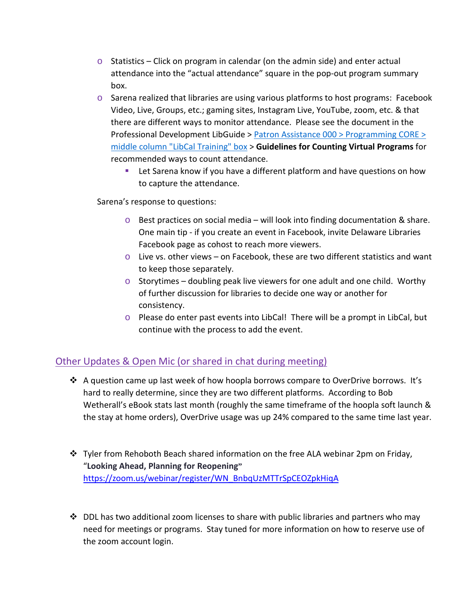- $\circ$  Statistics Click on program in calendar (on the admin side) and enter actual attendance into the "actual attendance" square in the pop-out program summary box.
- o Sarena realized that libraries are using various platforms to host programs: Facebook Video, Live, Groups, etc.; gaming sites, Instagram Live, YouTube, zoom, etc. & that there are different ways to monitor attendance. Please see the document in the Professional Development LibGuide > [Patron Assistance 000 > Programming CORE >](https://guides.lib.de.us/c.php?g=386101&p=2620042)  [middle column "LibCal Training" box](https://guides.lib.de.us/c.php?g=386101&p=2620042) > **Guidelines for Counting Virtual Programs** for recommended ways to count attendance.
	- **EXECT** Let Sarena know if you have a different platform and have questions on how to capture the attendance.

Sarena's response to questions:

- $\circ$  Best practices on social media will look into finding documentation & share. One main tip - if you create an event in Facebook, invite Delaware Libraries Facebook page as cohost to reach more viewers.
- $\circ$  Live vs. other views on Facebook, these are two different statistics and want to keep those separately.
- $\circ$  Storytimes doubling peak live viewers for one adult and one child. Worthy of further discussion for libraries to decide one way or another for consistency.
- o Please do enter past events into LibCal! There will be a prompt in LibCal, but continue with the process to add the event.

### Other Updates & Open Mic (or shared in chat during meeting)

- $\clubsuit$  A question came up last week of how hoopla borrows compare to OverDrive borrows. It's hard to really determine, since they are two different platforms. According to Bob Wetherall's eBook stats last month (roughly the same timeframe of the hoopla soft launch & the stay at home orders), OverDrive usage was up 24% compared to the same time last year.
- \* Tyler from Rehoboth Beach shared information on the free ALA webinar 2pm on Friday, "**Looking Ahead, Planning for Reopening"** [https://zoom.us/webinar/register/WN\\_BnbqUzMTTrSpCEOZpkHiqA](https://zoom.us/webinar/register/WN_BnbqUzMTTrSpCEOZpkHiqA)
- $\cdot$  DDL has two additional zoom licenses to share with public libraries and partners who may need for meetings or programs. Stay tuned for more information on how to reserve use of the zoom account login.